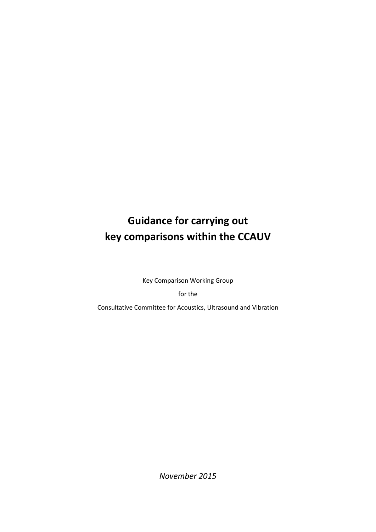# **Guidance for carrying out key comparisons within the CCAUV**

Key Comparison Working Group

for the

Consultative Committee for Acoustics, Ultrasound and Vibration

*November 2015*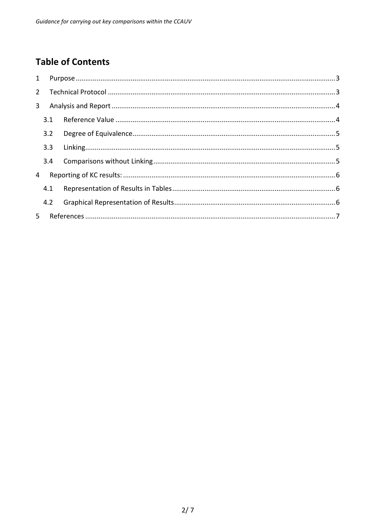# **Table of Contents**

| $\mathbf{1}$ |     |  |
|--------------|-----|--|
| $2^{\circ}$  |     |  |
| $\mathbf{3}$ |     |  |
|              | 3.1 |  |
|              | 3.2 |  |
|              | 3.3 |  |
|              | 3.4 |  |
| 4            |     |  |
|              | 4.1 |  |
|              | 4.2 |  |
| 5.           |     |  |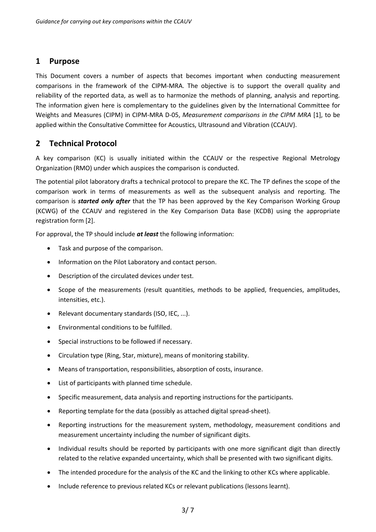# <span id="page-2-0"></span>**1 Purpose**

This Document covers a number of aspects that becomes important when conducting measurement comparisons in the framework of the CIPM-MRA. The objective is to support the overall quality and reliability of the reported data, as well as to harmonize the methods of planning, analysis and reporting. The information given here is complementary to the guidelines given by the International Committee for Weights and Measures (CIPM) in CIPM-MRA D-05, *Measurement comparisons in the CIPM MRA* [1], to be applied within the Consultative Committee for Acoustics, Ultrasound and Vibration (CCAUV).

# <span id="page-2-1"></span>**2 Technical Protocol**

A key comparison (KC) is usually initiated within the CCAUV or the respective Regional Metrology Organization (RMO) under which auspices the comparison is conducted.

The potential pilot laboratory drafts a technical protocol to prepare the KC. The TP defines the scope of the comparison work in terms of measurements as well as the subsequent analysis and reporting. The comparison is *started only after* that the TP has been approved by the Key Comparison Working Group (KCWG) of the CCAUV and registered in the Key Comparison Data Base (KCDB) using the appropriate registration form [2].

For approval, the TP should include *at least* the following information:

- Task and purpose of the comparison.
- Information on the Pilot Laboratory and contact person.
- Description of the circulated devices under test.
- Scope of the measurements (result quantities, methods to be applied, frequencies, amplitudes, intensities, etc.).
- Relevant documentary standards (ISO, IEC, ...).
- Environmental conditions to be fulfilled.
- Special instructions to be followed if necessary.
- Circulation type (Ring, Star, mixture), means of monitoring stability.
- Means of transportation, responsibilities, absorption of costs, insurance.
- List of participants with planned time schedule.
- Specific measurement, data analysis and reporting instructions for the participants.
- Reporting template for the data (possibly as attached digital spread-sheet).
- Reporting instructions for the measurement system, methodology, measurement conditions and measurement uncertainty including the number of significant digits.
- Individual results should be reported by participants with one more significant digit than directly related to the relative expanded uncertainty, which shall be presented with two significant digits.
- The intended procedure for the analysis of the KC and the linking to other KCs where applicable.
- Include reference to previous related KCs or relevant publications (lessons learnt).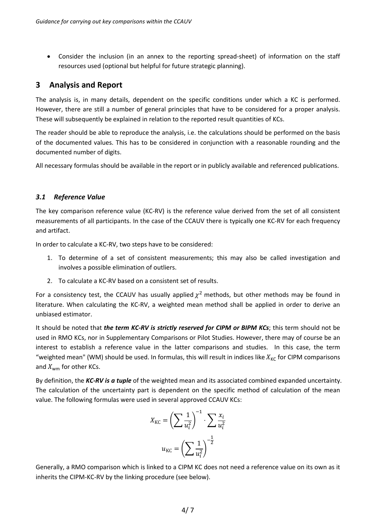• Consider the inclusion (in an annex to the reporting spread-sheet) of information on the staff resources used (optional but helpful for future strategic planning).

### <span id="page-3-0"></span>**3 Analysis and Report**

The analysis is, in many details, dependent on the specific conditions under which a KC is performed. However, there are still a number of general principles that have to be considered for a proper analysis. These will subsequently be explained in relation to the reported result quantities of KCs.

The reader should be able to reproduce the analysis, i.e. the calculations should be performed on the basis of the documented values. This has to be considered in conjunction with a reasonable rounding and the documented number of digits.

All necessary formulas should be available in the report or in publicly available and referenced publications.

#### <span id="page-3-1"></span>*3.1 Reference Value*

The key comparison reference value (KC-RV) is the reference value derived from the set of all consistent measurements of all participants. In the case of the CCAUV there is typically one KC-RV for each frequency and artifact.

In order to calculate a KC-RV, two steps have to be considered:

- 1. To determine of a set of consistent measurements; this may also be called investigation and involves a possible elimination of outliers.
- 2. To calculate a KC-RV based on a consistent set of results.

For a consistency test, the CCAUV has usually applied  $\chi^2$  methods, but other methods may be found in literature. When calculating the KC-RV, a weighted mean method shall be applied in order to derive an unbiased estimator.

It should be noted that *the term KC-RV is strictly reserved for CIPM or BIPM KCs*; this term should not be used in RMO KCs, nor in Supplementary Comparisons or Pilot Studies. However, there may of course be an interest to establish a reference value in the latter comparisons and studies. In this case, the term "weighted mean" (WM) should be used. In formulas, this will result in indices like  $X_{\text{KC}}$  for CIPM comparisons and  $X_{wm}$  for other KCs.

By definition, the *KC-RV is a tuple* of the weighted mean and its associated combined expanded uncertainty. The calculation of the uncertainty part is dependent on the specific method of calculation of the mean value. The following formulas were used in several approved CCAUV KCs:

$$
X_{\rm KC} = \left(\sum \frac{1}{u_i^2}\right)^{-1} \cdot \sum \frac{x_i}{u_i^2}
$$

$$
u_{\rm KC} = \left(\sum \frac{1}{u_i^2}\right)^{-\frac{1}{2}}
$$

Generally, a RMO comparison which is linked to a CIPM KC does not need a reference value on its own as it inherits the CIPM-KC-RV by the linking procedure (see below).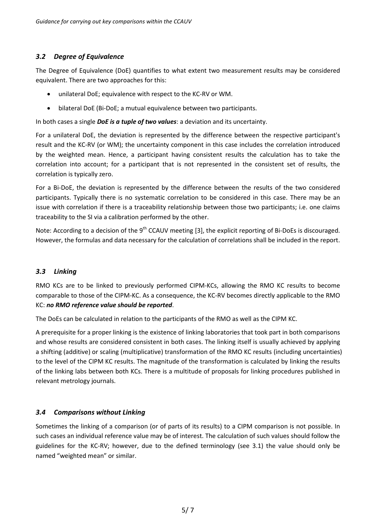#### <span id="page-4-0"></span>*3.2 Degree of Equivalence*

The Degree of Equivalence (DoE) quantifies to what extent two measurement results may be considered equivalent. There are two approaches for this:

- unilateral DoE; equivalence with respect to the KC-RV or WM.
- bilateral DoE (Bi-DoE; a mutual equivalence between two participants.

In both cases a single *DoE is a tuple of two values*: a deviation and its uncertainty.

For a unilateral DoE, the deviation is represented by the difference between the respective participant's result and the KC-RV (or WM); the uncertainty component in this case includes the correlation introduced by the weighted mean. Hence, a participant having consistent results the calculation has to take the correlation into account; for a participant that is not represented in the consistent set of results, the correlation is typically zero.

For a Bi-DoE, the deviation is represented by the difference between the results of the two considered participants. Typically there is no systematic correlation to be considered in this case. There may be an issue with correlation if there is a traceability relationship between those two participants; i.e. one claims traceability to the SI via a calibration performed by the other.

Note: According to a decision of the  $9<sup>th</sup>$  CCAUV meeting [3], the explicit reporting of Bi-DoEs is discouraged. However, the formulas and data necessary for the calculation of correlations shall be included in the report.

#### <span id="page-4-1"></span>*3.3 Linking*

RMO KCs are to be linked to previously performed CIPM-KCs, allowing the RMO KC results to become comparable to those of the CIPM-KC. As a consequence, the KC-RV becomes directly applicable to the RMO KC: *no RMO reference value should be reported*.

The DoEs can be calculated in relation to the participants of the RMO as well as the CIPM KC.

A prerequisite for a proper linking is the existence of linking laboratories that took part in both comparisons and whose results are considered consistent in both cases. The linking itself is usually achieved by applying a shifting (additive) or scaling (multiplicative) transformation of the RMO KC results (including uncertainties) to the level of the CIPM KC results. The magnitude of the transformation is calculated by linking the results of the linking labs between both KCs. There is a multitude of proposals for linking procedures published in relevant metrology journals.

#### <span id="page-4-2"></span>*3.4 Comparisons without Linking*

Sometimes the linking of a comparison (or of parts of its results) to a CIPM comparison is not possible. In such cases an individual reference value may be of interest. The calculation of such values should follow the guidelines for the KC-RV; however, due to the defined terminology (see 3.1) the value should only be named "weighted mean" or similar.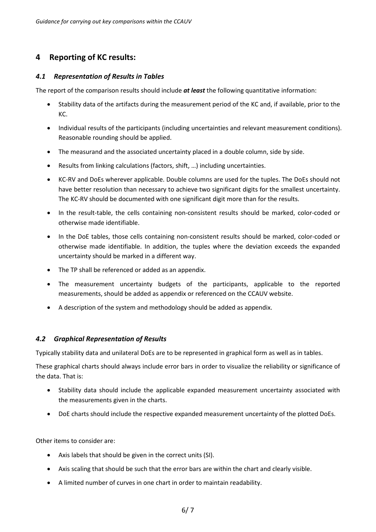# <span id="page-5-0"></span>**4 Reporting of KC results:**

#### <span id="page-5-1"></span>*4.1 Representation of Results in Tables*

The report of the comparison results should include *at least* the following quantitative information:

- Stability data of the artifacts during the measurement period of the KC and, if available, prior to the KC.
- Individual results of the participants (including uncertainties and relevant measurement conditions). Reasonable rounding should be applied.
- The measurand and the associated uncertainty placed in a double column, side by side.
- Results from linking calculations (factors, shift, …) including uncertainties.
- KC-RV and DoEs wherever applicable. Double columns are used for the tuples. The DoEs should not have better resolution than necessary to achieve two significant digits for the smallest uncertainty. The KC-RV should be documented with one significant digit more than for the results.
- In the result-table, the cells containing non-consistent results should be marked, color-coded or otherwise made identifiable.
- In the DoE tables, those cells containing non-consistent results should be marked, color-coded or otherwise made identifiable. In addition, the tuples where the deviation exceeds the expanded uncertainty should be marked in a different way.
- The TP shall be referenced or added as an appendix.
- The measurement uncertainty budgets of the participants, applicable to the reported measurements, should be added as appendix or referenced on the CCAUV website.
- A description of the system and methodology should be added as appendix.

#### <span id="page-5-2"></span>*4.2 Graphical Representation of Results*

Typically stability data and unilateral DoEs are to be represented in graphical form as well as in tables.

These graphical charts should always include error bars in order to visualize the reliability or significance of the data. That is:

- Stability data should include the applicable expanded measurement uncertainty associated with the measurements given in the charts.
- DoE charts should include the respective expanded measurement uncertainty of the plotted DoEs.

Other items to consider are:

- Axis labels that should be given in the correct units (SI).
- Axis scaling that should be such that the error bars are within the chart and clearly visible.
- A limited number of curves in one chart in order to maintain readability.